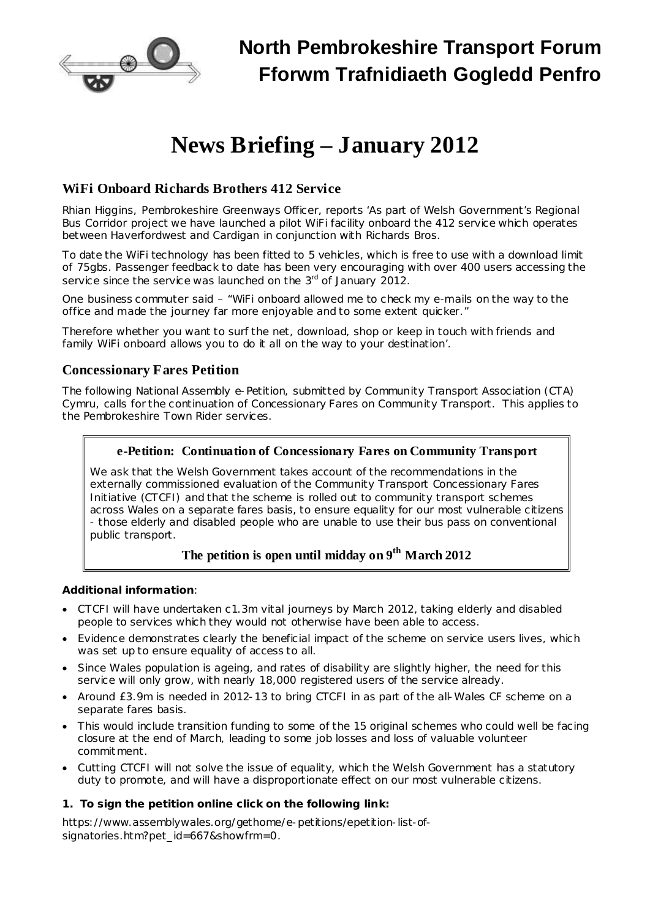

# **News Briefing – January 2012**

# **WiFi Onboard Richards Brothers 412 Service**

Rhian Higgins, Pembrokeshire Greenways Officer, reports 'As part of Welsh Government's Regional Bus Corridor project we have launched a pilot WiFi facility onboard the 412 service which operates between Haverfordwest and Cardigan in conjunction with Richards Bros.

To date the WiFi technology has been fitted to 5 vehicles, which is free to use with a download limit of 75gbs. Passenger feedback to date has been very encouraging with over 400 users accessing the service since the service was launched on the  $3<sup>rd</sup>$  of January 2012.

One business commuter said *– "WiFi onboard allowed me to check my e-mails on the way to the office and made the journey far more enjoyable and to some extent quicker."*

Therefore whether you want to surf the net, download, shop or keep in touch with friends and family WiFi onboard allows you to do it all on the way to your destination'.

## **Concessionary Fares Petition**

The following National Assembly e-Petition, submitted by Community Transport Association (CTA) Cymru, calls for the continuation of Concessionary Fares on Community Transport. This applies to the Pembrokeshire Town Rider services.

#### **e-Petition: Continuation of Concessionary Fares on Community Transport**

We ask that the Welsh Government takes account of the recommendations in the externally commissioned evaluation of the Community Transport Concessionary Fares Initiative (CTCFI) and that the scheme is rolled out to community transport schemes across Wales on a separate fares basis, to ensure equality for our most vulnerable citizens - those elderly and disabled people who are unable to use their bus pass on conventional public transport.

# **The petition is open until midday on 9 th March 2012**

**Additional information**:

- · CTCFI will have undertaken c1.3m vital journeys by March 2012, taking elderly and disabled people to services which they would not otherwise have been able to access.
- · Evidence demonstrates clearly the beneficial impact of the scheme on service users lives, which was set up to ensure equality of access to all.
- · Since Wales population is ageing, and rates of disability are slightly higher, the need for this service will only grow, with nearly 18,000 registered users of the service already.
- · Around £3.9m is needed in 2012-13 to bring CTCFI in as part of the all-Wales CF scheme on a separate fares basis.
- · This would include transition funding to some of the 15 original schemes who could well be facing closure at the end of March, leading to some job losses and loss of valuable volunteer commit ment.
- · Cutting CTCFI will not solve the issue of equality, which the Welsh Government has a statutory duty to promote, and will have a disproportionate effect on our most vulnerable citizens.
- **1. To sign the petition online click on the following link:**

[https://www.assemblywales.org/gethome/e-petitions/epetition-list-of](https://www.assemblywales.org/gethome/e-petitions/epetition-list-of-signatories.htm?pet_id=667&showfrm=0)[signatories.htm?pet\\_id=667&showfrm=0](https://www.assemblywales.org/gethome/e-petitions/epetition-list-of-signatories.htm?pet_id=667&showfrm=0).